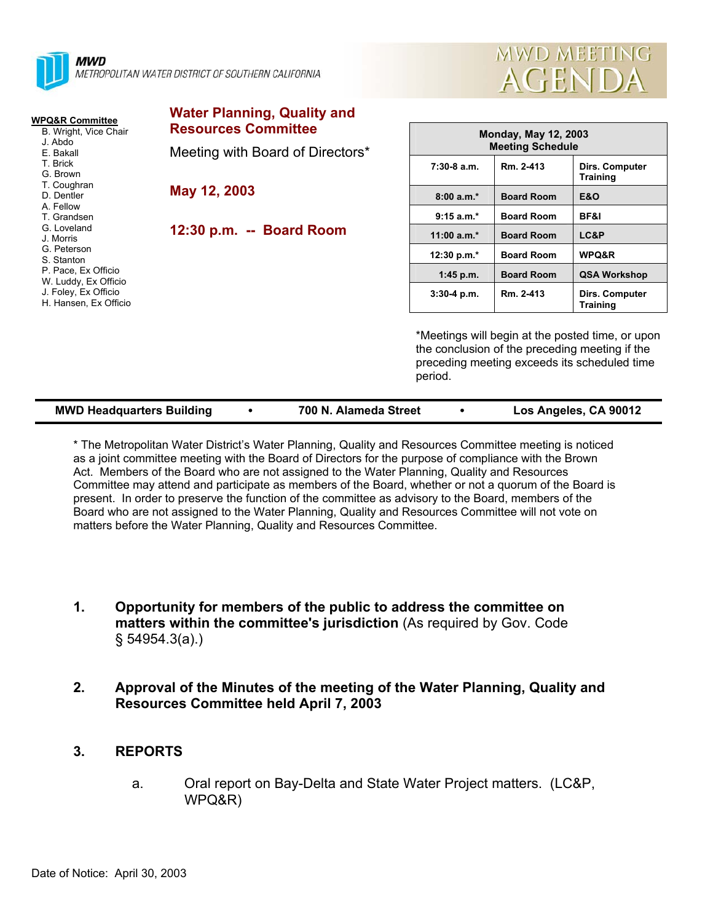



| WPQ&R Committee                                                                   | <b>Water Planning, Quality and</b> |                                                        |                   |                                                                                                    |
|-----------------------------------------------------------------------------------|------------------------------------|--------------------------------------------------------|-------------------|----------------------------------------------------------------------------------------------------|
| B. Wright, Vice Chair<br>J. Abdo<br>E. Bakall                                     | <b>Resources Committee</b>         | <b>Monday, May 12, 2003</b><br><b>Meeting Schedule</b> |                   |                                                                                                    |
|                                                                                   | Meeting with Board of Directors*   |                                                        |                   |                                                                                                    |
| T. Brick<br>G. Brown                                                              |                                    | $7:30-8$ a.m.                                          | Rm. 2-413         | Dirs. Computer<br><b>Training</b>                                                                  |
| T. Coughran<br>D. Dentler<br>A. Fellow<br>T. Grandsen<br>G. Loveland<br>J. Morris | May 12, 2003                       | $8:00 a.m.*$                                           | <b>Board Room</b> | <b>E&amp;O</b>                                                                                     |
|                                                                                   |                                    | $9:15 a.m.*$                                           | <b>Board Room</b> | BF&I                                                                                               |
|                                                                                   | 12:30 p.m. -- Board Room           | 11:00 $a.m.*$                                          | <b>Board Room</b> | LC&P                                                                                               |
| G. Peterson<br>S. Stanton                                                         |                                    | 12:30 p.m. $*$                                         | <b>Board Room</b> | WPQ&R                                                                                              |
| P. Pace, Ex Officio<br>W. Luddy, Ex Officio                                       |                                    | $1:45$ p.m.                                            | <b>Board Room</b> | <b>QSA Workshop</b>                                                                                |
| J. Foley, Ex Officio<br>H. Hansen, Ex Officio                                     |                                    | $3:30-4$ p.m.                                          | Rm. 2-413         | Dirs. Computer<br><b>Training</b>                                                                  |
|                                                                                   |                                    |                                                        |                   | *Meetings will begin at the posted time, or upon<br>the conclusion of the preceding meeting if the |

the conclusion of the preceding meeting if the preceding meeting exceeds its scheduled time period.

| <b>MWD Headquarters Building</b> | 700 N. Alameda Street | Los Angeles, CA 90012 |
|----------------------------------|-----------------------|-----------------------|
|                                  |                       |                       |

\* The Metropolitan Water District's Water Planning, Quality and Resources Committee meeting is noticed as a joint committee meeting with the Board of Directors for the purpose of compliance with the Brown Act. Members of the Board who are not assigned to the Water Planning, Quality and Resources Committee may attend and participate as members of the Board, whether or not a quorum of the Board is present. In order to preserve the function of the committee as advisory to the Board, members of the Board who are not assigned to the Water Planning, Quality and Resources Committee will not vote on matters before the Water Planning, Quality and Resources Committee.

- **1. Opportunity for members of the public to address the committee on matters within the committee's jurisdiction** (As required by Gov. Code § 54954.3(a).)
- **2. Approval of the Minutes of the meeting of the Water Planning, Quality and Resources Committee held April 7, 2003**
- **3. REPORTS** 
	- a. Oral report on Bay-Delta and State Water Project matters. (LC&P, WPQ&R)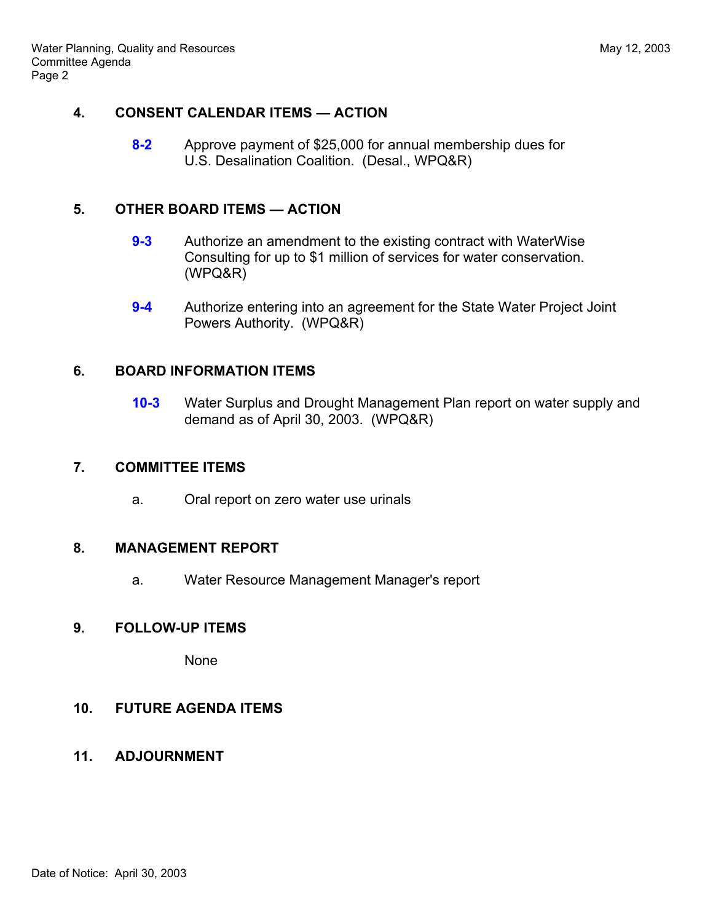# **4. CONSENT CALENDAR ITEMS — ACTION**

**8-2** Approve payment of \$25,000 for annual membership dues for U.S. Desalination Coalition. (Desal., WPQ&R)

# **5. OTHER BOARD ITEMS — ACTION**

- **9-3** Authorize an amendment to the existing contract with WaterWise Consulting for up to \$1 million of services for water conservation. (WPQ&R)
- **9-4** Authorize entering into an agreement for the State Water Project Joint Powers Authority. (WPQ&R)

# **6. BOARD INFORMATION ITEMS**

**10-3** Water Surplus and Drought Management Plan report on water supply and demand as of April 30, 2003. (WPQ&R)

# **7. COMMITTEE ITEMS**

a. Oral report on zero water use urinals

#### **8. MANAGEMENT REPORT**

a. Water Resource Management Manager's report

#### **9. FOLLOW-UP ITEMS**

None

# **10. FUTURE AGENDA ITEMS**

**11. ADJOURNMENT**